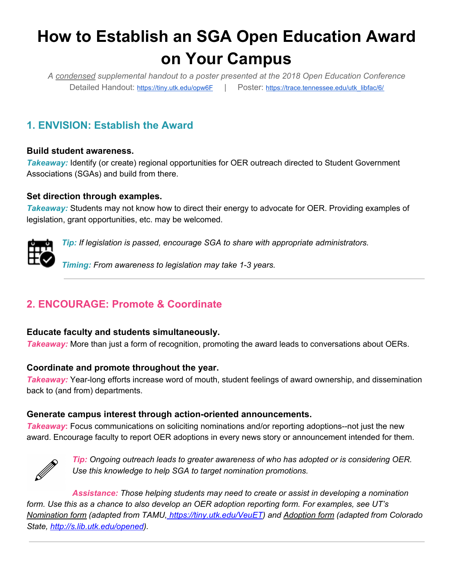# **How to Establish an SGA Open Education Award on Your Campus**

*A condensed supplemental handout to a poster presented at the 2018 Open Education Conference* Detailed Handout: <https://tiny.utk.edu/opw6F> | Poster: [https://trace.tennessee.edu/utk\\_libfac/6/](https://trace.tennessee.edu/utk_libfac/6/)

# **1. ENVISION: Establish the Award**

### **Build student awareness.**

**Takeaway:** Identify (or create) regional opportunities for OER outreach directed to Student Government Associations (SGAs) and build from there.

#### **Set direction through examples.**

*Takeaway:* Students may not know how to direct their energy to advocate for OER. Providing examples of legislation, grant opportunities, etc. may be welcomed.



*Tip: If legislation is passed, encourage SGA to share with appropriate administrators.*

*Timing: From awareness to legislation may take 1-3 years.*

# **2. ENCOURAGE: Promote & Coordinate**

#### **Educate faculty and students simultaneously.**

*Takeaway:* More than just a form of recognition, promoting the award leads to conversations about OERs.

#### **Coordinate and promote throughout the year.**

*Takeaway:* Year-long efforts increase word of mouth, student feelings of award ownership, and dissemination back to (and from) departments.

# **Generate campus interest through action-oriented announcements.**

*Takeaway***:** Focus communications on soliciting nominations and/or reporting adoptions--not just the new award. Encourage faculty to report OER adoptions in every news story or announcement intended for them.



*Tip: Ongoing outreach leads to greater awareness of who has adopted or is considering OER. Use this knowledge to help SGA to target nomination promotions.*

*Assistance: Those helping students may need to create or assist in developing a nomination form. Use this as a chance to also develop an OER adoption reporting form. For examples, see UT's [Nomination](https://www.lib.utk.edu/scholar/sga-open-educator-award-nomination-form/) form (adapted from TAMU, https://tiny.utk.edu/VeuET) and [Adoption](http://s.lib.utk.edu/opened) form (adapted from Colorado State, http://s.lib.utk.edu/opened).*